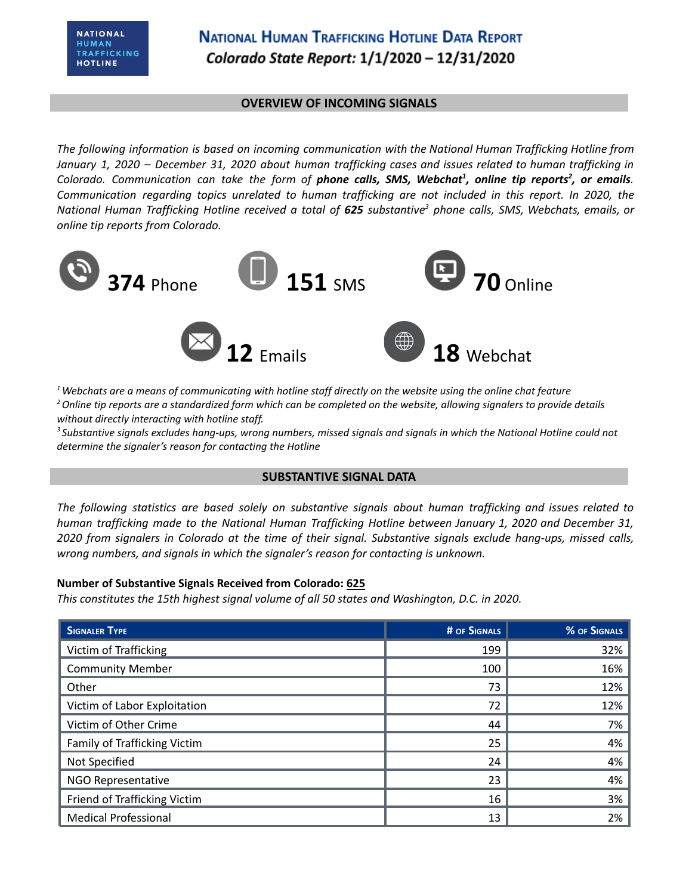## **OVERVIEW OF INCOMING SIGNALS**

*The following information is based on incoming communication with the National Human Trafficking Hotline from* January 1, 2020 - December 31, 2020 about human trafficking cases and issues related to human trafficking in Colorado. Communication can take the form of phone calls, SMS, Webchat<sup>1</sup>, online tip reports<sup>2</sup>, or emails. *Communication regarding topics unrelated to human trafficking are not included in this report. In 2020, the* National Human Trafficking Hotline received a total of 625 substantive<sup>3</sup> phone calls, SMS, Webchats, emails, or *online tip reports from Colorado.*



 $1$  Webchats are a means of communicating with hotline staff directly on the website using the online chat feature <sup>2</sup> Online tip reports are a standardized form which can be completed on the website, allowing signalers to provide details *without directly interacting with hotline staff.*

<sup>3</sup> Substantive signals excludes hang-ups, wrong numbers, missed signals and signals in which the National Hotline could not *determine the signaler's reason for contacting the Hotline*

### **SUBSTANTIVE SIGNAL DATA**

*The following statistics are based solely on substantive signals about human trafficking and issues related to human trafficking made to the National Human Trafficking Hotline between January 1, 2020 and December 31,* 2020 from signalers in Colorado at the time of their signal. Substantive signals exclude hang-ups, missed calls, *wrong numbers, and signals in which the signaler's reason for contacting is unknown.*

### **Number of Substantive Signals Received from Colorado: 625**

*This constitutes the 15th highest signal volume of all 50 states and Washington, D.C. in 2020.*

| <b>SIGNALER TYPE</b>         | # OF SIGNALS | % OF SIGNALS |
|------------------------------|--------------|--------------|
| Victim of Trafficking        | 199          | 32%          |
| <b>Community Member</b>      | 100          | 16%          |
| Other                        | 73           | 12%          |
| Victim of Labor Exploitation | 72           | 12%          |
| Victim of Other Crime        | 44           | 7%           |
| Family of Trafficking Victim | 25           | 4%           |
| Not Specified                | 24           | 4%           |
| NGO Representative           | 23           | 4%           |
| Friend of Trafficking Victim | 16           | 3%           |
| <b>Medical Professional</b>  | 13           | 2%           |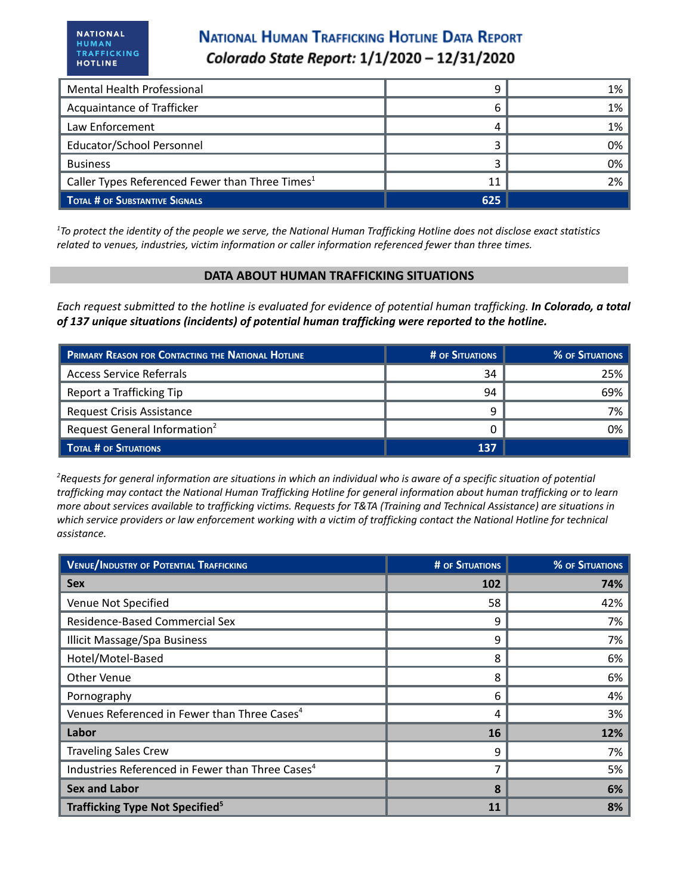# **NATIONAL HUMAN TRAFFICKING HOTLINE DATA REPORT** Colorado State Report: 1/1/2020 - 12/31/2020

| Mental Health Professional                                  | q   | 1% |
|-------------------------------------------------------------|-----|----|
| Acquaintance of Trafficker                                  | 6   | 1% |
| Law Enforcement                                             |     | 1% |
| Educator/School Personnel                                   |     | 0% |
| <b>Business</b>                                             |     | 0% |
| Caller Types Referenced Fewer than Three Times <sup>1</sup> |     | 2% |
| TOTAL # OF SUBSTANTIVE SIGNALS                              | 625 |    |

<sup>1</sup>To protect the identity of the people we serve, the National Human Trafficking Hotline does not disclose exact statistics *related to venues, industries, victim information or caller information referenced fewer than three times.*

### **DATA ABOUT HUMAN TRAFFICKING SITUATIONS**

Each request submitted to the hotline is evaluated for evidence of potential human trafficking. In Colorado, a total *of 137 unique situations (incidents) of potential human trafficking were reported to the hotline.*

| PRIMARY REASON FOR CONTACTING THE NATIONAL HOTLINE | # OF SITUATIONS | % OF SITUATIONS |
|----------------------------------------------------|-----------------|-----------------|
| <b>Access Service Referrals</b>                    | 34              | 25%             |
| Report a Trafficking Tip                           | 94              | 69%             |
| <b>Request Crisis Assistance</b>                   | a               | 7% l            |
| Request General Information <sup>2</sup>           |                 | 0%              |
| TOTAL # OF SITUATIONS                              | 137             |                 |

<sup>2</sup>Requests for general information are situations in which an individual who is aware of a specific situation of potential trafficking may contact the National Human Trafficking Hotline for general information about human trafficking or to learn more about services available to trafficking victims. Requests for T&TA (Training and Technical Assistance) are situations in which service providers or law enforcement working with a victim of trafficking contact the National Hotline for technical *assistance.*

| <b>VENUE/INDUSTRY OF POTENTIAL TRAFFICKING</b>               | <b># OF SITUATIONS</b> | % OF SITUATIONS |
|--------------------------------------------------------------|------------------------|-----------------|
| <b>Sex</b>                                                   | 102                    | 74%             |
| Venue Not Specified                                          | 58                     | 42%             |
| Residence-Based Commercial Sex                               | 9                      | 7%              |
| <b>Illicit Massage/Spa Business</b>                          | 9                      | 7%              |
| Hotel/Motel-Based                                            | 8                      | 6%              |
| Other Venue                                                  | 8                      | 6%              |
| Pornography                                                  | 6                      | 4%              |
| Venues Referenced in Fewer than Three Cases <sup>4</sup>     | 4                      | 3%              |
| Labor                                                        | 16                     | 12%             |
| <b>Traveling Sales Crew</b>                                  | 9                      | 7%              |
| Industries Referenced in Fewer than Three Cases <sup>4</sup> |                        | 5%              |
| <b>Sex and Labor</b>                                         | 8                      | 6%              |
| <b>Trafficking Type Not Specified</b> <sup>5</sup>           | 11                     | 8%              |